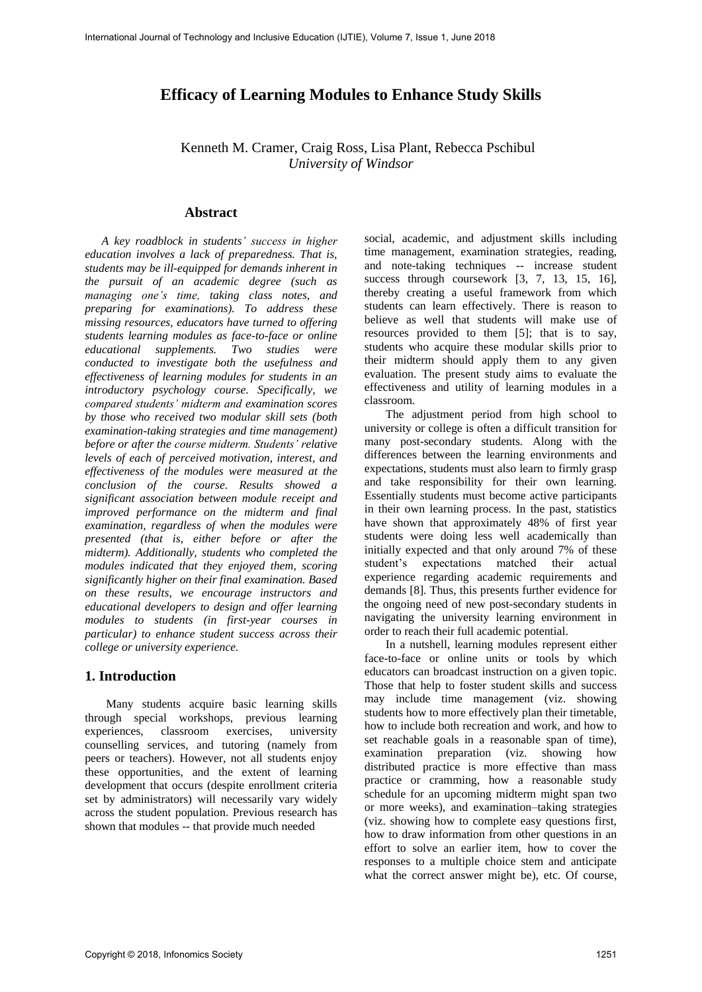# **Efficacy of Learning Modules to Enhance Study Skills**

 Kenneth M. Cramer, Craig Ross, Lisa Plant, Rebecca Pschibul *University of Windsor*

## **Abstract**

*A key roadblock in students' success in higher education involves a lack of preparedness. That is, students may be ill-equipped for demands inherent in the pursuit of an academic degree (such as managing one's time, taking class notes, and preparing for examinations). To address these missing resources, educators have turned to offering students learning modules as face-to-face or online educational supplements. Two studies were conducted to investigate both the usefulness and effectiveness of learning modules for students in an introductory psychology course. Specifically, we compared students' midterm and examination scores by those who received two modular skill sets (both examination-taking strategies and time management) before or after the course midterm. Students' relative levels of each of perceived motivation, interest, and effectiveness of the modules were measured at the conclusion of the course. Results showed a significant association between module receipt and improved performance on the midterm and final examination, regardless of when the modules were presented (that is, either before or after the midterm). Additionally, students who completed the modules indicated that they enjoyed them, scoring significantly higher on their final examination. Based on these results, we encourage instructors and educational developers to design and offer learning modules to students (in first-year courses in particular) to enhance student success across their college or university experience.* 

## **1. Introduction**

Many students acquire basic learning skills through special workshops, previous learning experiences, classroom exercises, university counselling services, and tutoring (namely from peers or teachers). However, not all students enjoy these opportunities, and the extent of learning development that occurs (despite enrollment criteria set by administrators) will necessarily vary widely across the student population. Previous research has shown that modules -- that provide much needed

social, academic, and adjustment skills including time management, examination strategies, reading, and note-taking techniques -- increase student success through coursework [3, 7, 13, 15, 16], thereby creating a useful framework from which students can learn effectively. There is reason to believe as well that students will make use of resources provided to them [5]; that is to say, students who acquire these modular skills prior to their midterm should apply them to any given evaluation. The present study aims to evaluate the effectiveness and utility of learning modules in a classroom.

The adjustment period from high school to university or college is often a difficult transition for many post-secondary students. Along with the differences between the learning environments and expectations, students must also learn to firmly grasp and take responsibility for their own learning. Essentially students must become active participants in their own learning process. In the past, statistics have shown that approximately 48% of first year students were doing less well academically than initially expected and that only around 7% of these student's expectations matched their actual experience regarding academic requirements and demands [8]. Thus, this presents further evidence for the ongoing need of new post-secondary students in navigating the university learning environment in order to reach their full academic potential.

In a nutshell, learning modules represent either face-to-face or online units or tools by which educators can broadcast instruction on a given topic. Those that help to foster student skills and success may include time management (viz. showing students how to more effectively plan their timetable, how to include both recreation and work, and how to set reachable goals in a reasonable span of time), examination preparation (viz. showing how distributed practice is more effective than mass practice or cramming, how a reasonable study schedule for an upcoming midterm might span two or more weeks), and examination–taking strategies (viz. showing how to complete easy questions first, how to draw information from other questions in an effort to solve an earlier item, how to cover the responses to a multiple choice stem and anticipate what the correct answer might be), etc. Of course,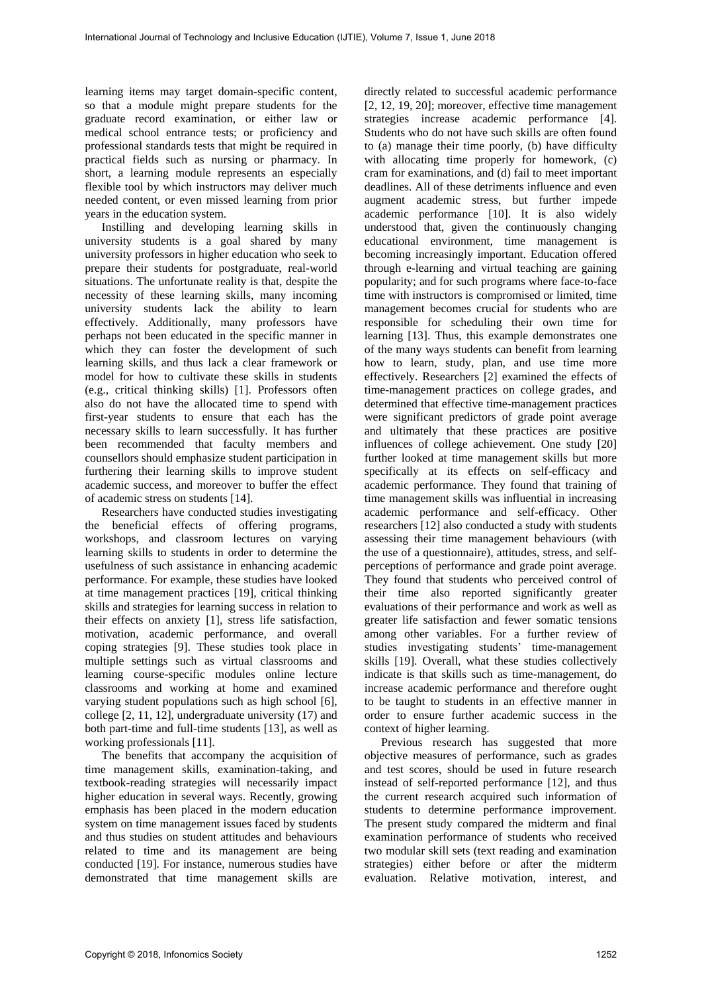learning items may target domain-specific content, so that a module might prepare students for the graduate record examination, or either law or medical school entrance tests; or proficiency and professional standards tests that might be required in practical fields such as nursing or pharmacy. In short, a learning module represents an especially flexible tool by which instructors may deliver much needed content, or even missed learning from prior years in the education system.

Instilling and developing learning skills in university students is a goal shared by many university professors in higher education who seek to prepare their students for postgraduate, real-world situations. The unfortunate reality is that, despite the necessity of these learning skills, many incoming university students lack the ability to learn effectively. Additionally, many professors have perhaps not been educated in the specific manner in which they can foster the development of such learning skills, and thus lack a clear framework or model for how to cultivate these skills in students (e.g., critical thinking skills) [1]. Professors often also do not have the allocated time to spend with first-year students to ensure that each has the necessary skills to learn successfully. It has further been recommended that faculty members and counsellors should emphasize student participation in furthering their learning skills to improve student academic success, and moreover to buffer the effect of academic stress on students [14].

Researchers have conducted studies investigating the beneficial effects of offering programs, workshops, and classroom lectures on varying learning skills to students in order to determine the usefulness of such assistance in enhancing academic performance. For example, these studies have looked at time management practices [19], critical thinking skills and strategies for learning success in relation to their effects on anxiety [1], stress life satisfaction, motivation, academic performance, and overall coping strategies [9]. These studies took place in multiple settings such as virtual classrooms and learning course-specific modules online lecture classrooms and working at home and examined varying student populations such as high school [6], college [2, 11, 12], undergraduate university (17) and both part-time and full-time students [13], as well as working professionals [11].

The benefits that accompany the acquisition of time management skills, examination-taking, and textbook-reading strategies will necessarily impact higher education in several ways. Recently, growing emphasis has been placed in the modern education system on time management issues faced by students and thus studies on student attitudes and behaviours related to time and its management are being conducted [19]. For instance, numerous studies have demonstrated that time management skills are

directly related to successful academic performance [2, 12, 19, 20]; moreover, effective time management strategies increase academic performance [4]. Students who do not have such skills are often found to (a) manage their time poorly, (b) have difficulty with allocating time properly for homework, (c) cram for examinations, and (d) fail to meet important deadlines. All of these detriments influence and even augment academic stress, but further impede academic performance [10]. It is also widely understood that, given the continuously changing educational environment, time management is becoming increasingly important. Education offered through e-learning and virtual teaching are gaining popularity; and for such programs where face-to-face time with instructors is compromised or limited, time management becomes crucial for students who are responsible for scheduling their own time for learning [13]. Thus, this example demonstrates one of the many ways students can benefit from learning how to learn, study, plan, and use time more effectively. Researchers [2] examined the effects of time-management practices on college grades, and determined that effective time-management practices were significant predictors of grade point average and ultimately that these practices are positive influences of college achievement. One study [20] further looked at time management skills but more specifically at its effects on self-efficacy and academic performance. They found that training of time management skills was influential in increasing academic performance and self-efficacy. Other researchers [12] also conducted a study with students assessing their time management behaviours (with the use of a questionnaire), attitudes, stress, and selfperceptions of performance and grade point average. They found that students who perceived control of their time also reported significantly greater evaluations of their performance and work as well as greater life satisfaction and fewer somatic tensions among other variables. For a further review of studies investigating students' time-management skills [19]. Overall, what these studies collectively indicate is that skills such as time-management, do increase academic performance and therefore ought to be taught to students in an effective manner in order to ensure further academic success in the context of higher learning.

Previous research has suggested that more objective measures of performance, such as grades and test scores, should be used in future research instead of self-reported performance [12], and thus the current research acquired such information of students to determine performance improvement. The present study compared the midterm and final examination performance of students who received two modular skill sets (text reading and examination strategies) either before or after the midterm evaluation. Relative motivation, interest, and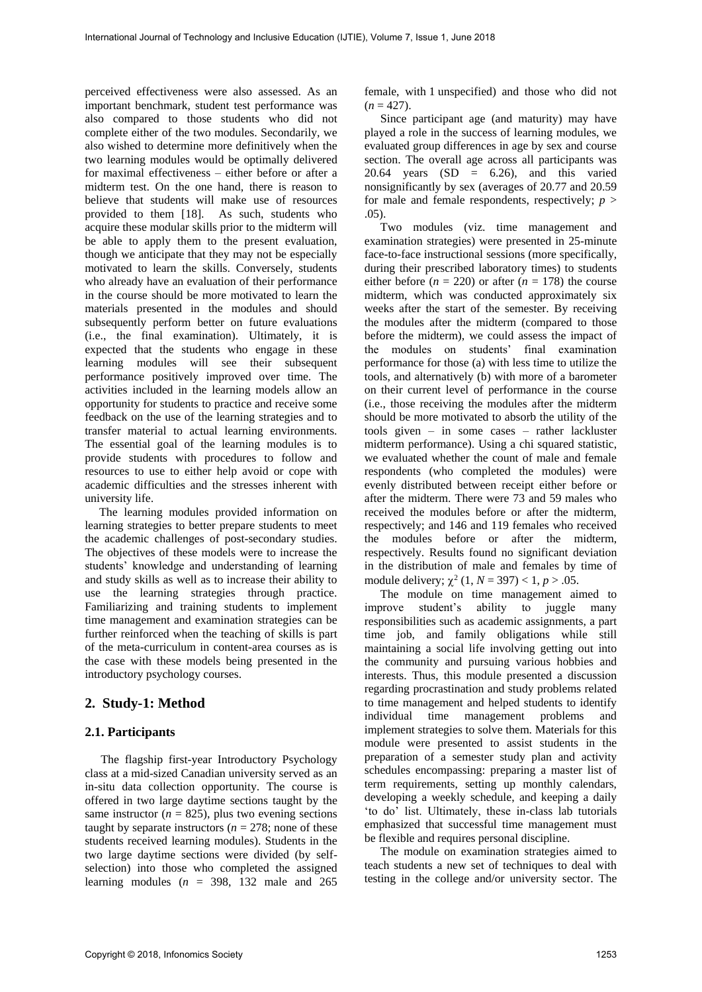perceived effectiveness were also assessed. As an important benchmark, student test performance was also compared to those students who did not complete either of the two modules. Secondarily, we also wished to determine more definitively when the two learning modules would be optimally delivered for maximal effectiveness – either before or after a midterm test. On the one hand, there is reason to believe that students will make use of resources provided to them [18]. As such, students who acquire these modular skills prior to the midterm will be able to apply them to the present evaluation, though we anticipate that they may not be especially motivated to learn the skills. Conversely, students who already have an evaluation of their performance in the course should be more motivated to learn the materials presented in the modules and should subsequently perform better on future evaluations (i.e., the final examination). Ultimately, it is expected that the students who engage in these learning modules will see their subsequent performance positively improved over time. The activities included in the learning models allow an opportunity for students to practice and receive some feedback on the use of the learning strategies and to transfer material to actual learning environments. The essential goal of the learning modules is to provide students with procedures to follow and resources to use to either help avoid or cope with academic difficulties and the stresses inherent with university life.

The learning modules provided information on learning strategies to better prepare students to meet the academic challenges of post-secondary studies. The objectives of these models were to increase the students' knowledge and understanding of learning and study skills as well as to increase their ability to use the learning strategies through practice. Familiarizing and training students to implement time management and examination strategies can be further reinforced when the teaching of skills is part of the meta-curriculum in content-area courses as is the case with these models being presented in the introductory psychology courses.

# **2. Study-1: Method**

## **2.1. Participants**

The flagship first-year Introductory Psychology class at a mid-sized Canadian university served as an in-situ data collection opportunity. The course is offered in two large daytime sections taught by the same instructor ( $n = 825$ ), plus two evening sections taught by separate instructors ( $n = 278$ ; none of these students received learning modules). Students in the two large daytime sections were divided (by selfselection) into those who completed the assigned learning modules  $(n = 398, 132$  male and 265

female, with 1 unspecified) and those who did not  $(n = 427)$ .

Since participant age (and maturity) may have played a role in the success of learning modules, we evaluated group differences in age by sex and course section. The overall age across all participants was 20.64 years  $(SD = 6.26)$ , and this varied nonsignificantly by sex (averages of 20.77 and 20.59 for male and female respondents, respectively;  $p >$ .05).

Two modules (viz. time management and examination strategies) were presented in 25-minute face-to-face instructional sessions (more specifically, during their prescribed laboratory times) to students either before  $(n = 220)$  or after  $(n = 178)$  the course midterm, which was conducted approximately six weeks after the start of the semester. By receiving the modules after the midterm (compared to those before the midterm), we could assess the impact of the modules on students' final examination performance for those (a) with less time to utilize the tools, and alternatively (b) with more of a barometer on their current level of performance in the course (i.e., those receiving the modules after the midterm should be more motivated to absorb the utility of the tools given – in some cases – rather lackluster midterm performance). Using a chi squared statistic, we evaluated whether the count of male and female respondents (who completed the modules) were evenly distributed between receipt either before or after the midterm. There were 73 and 59 males who received the modules before or after the midterm, respectively; and 146 and 119 females who received the modules before or after the midterm, respectively. Results found no significant deviation in the distribution of male and females by time of module delivery;  $\chi^2$  (1, *N* = 397) < 1, *p* > .05.

The module on time management aimed to improve student's ability to juggle many responsibilities such as academic assignments, a part time job, and family obligations while still maintaining a social life involving getting out into the community and pursuing various hobbies and interests. Thus, this module presented a discussion regarding procrastination and study problems related to time management and helped students to identify individual time management problems and implement strategies to solve them. Materials for this module were presented to assist students in the preparation of a semester study plan and activity schedules encompassing: preparing a master list of term requirements, setting up monthly calendars, developing a weekly schedule, and keeping a daily 'to do' list. Ultimately, these in-class lab tutorials emphasized that successful time management must be flexible and requires personal discipline.

The module on examination strategies aimed to teach students a new set of techniques to deal with testing in the college and/or university sector. The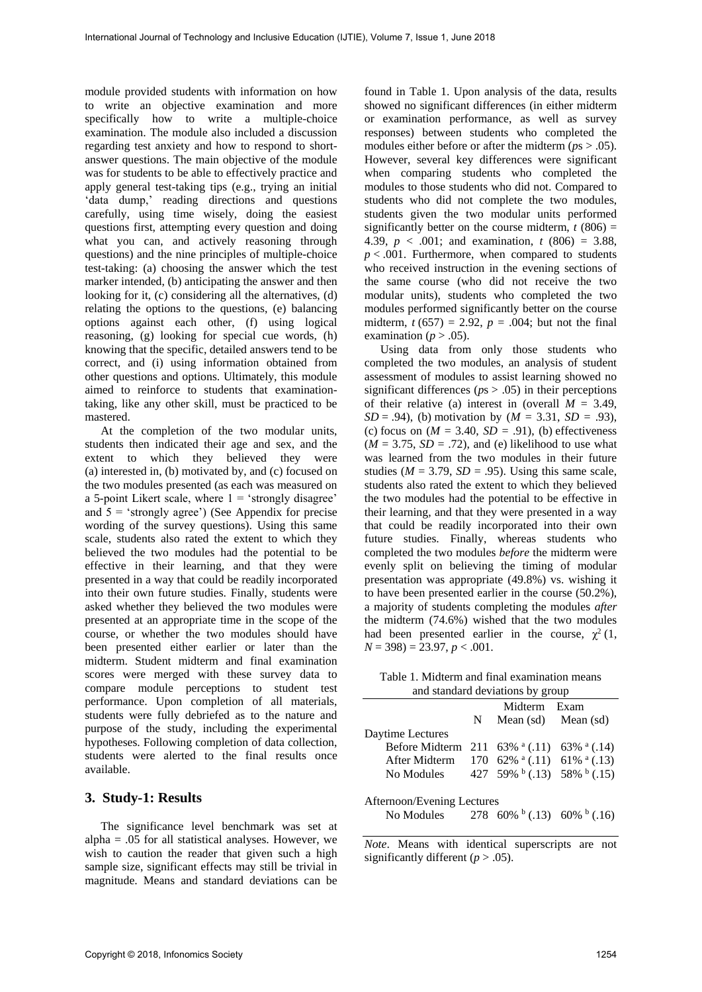module provided students with information on how to write an objective examination and more specifically how to write a multiple-choice examination. The module also included a discussion regarding test anxiety and how to respond to shortanswer questions. The main objective of the module was for students to be able to effectively practice and apply general test-taking tips (e.g., trying an initial 'data dump,' reading directions and questions carefully, using time wisely, doing the easiest questions first, attempting every question and doing what you can, and actively reasoning through questions) and the nine principles of multiple-choice test-taking: (a) choosing the answer which the test marker intended, (b) anticipating the answer and then looking for it, (c) considering all the alternatives, (d) relating the options to the questions, (e) balancing options against each other, (f) using logical reasoning, (g) looking for special cue words, (h) knowing that the specific, detailed answers tend to be correct, and (i) using information obtained from other questions and options. Ultimately, this module aimed to reinforce to students that examinationtaking, like any other skill, must be practiced to be mastered.

At the completion of the two modular units, students then indicated their age and sex, and the extent to which they believed they were (a) interested in, (b) motivated by, and (c) focused on the two modules presented (as each was measured on a 5-point Likert scale, where  $1 = 'strongly disagree'$ and  $5 = 'strongly agree')$  (See Appendix for precise wording of the survey questions). Using this same scale, students also rated the extent to which they believed the two modules had the potential to be effective in their learning, and that they were presented in a way that could be readily incorporated into their own future studies. Finally, students were asked whether they believed the two modules were presented at an appropriate time in the scope of the course, or whether the two modules should have been presented either earlier or later than the midterm. Student midterm and final examination scores were merged with these survey data to compare module perceptions to student test performance. Upon completion of all materials, students were fully debriefed as to the nature and purpose of the study, including the experimental hypotheses. Following completion of data collection, students were alerted to the final results once available.

### **3. Study-1: Results**

The significance level benchmark was set at alpha  $= .05$  for all statistical analyses. However, we wish to caution the reader that given such a high sample size, significant effects may still be trivial in magnitude. Means and standard deviations can be

found in Table 1. Upon analysis of the data, results showed no significant differences (in either midterm or examination performance, as well as survey responses) between students who completed the modules either before or after the midterm ( $ps > .05$ ). However, several key differences were significant when comparing students who completed the modules to those students who did not. Compared to students who did not complete the two modules, students given the two modular units performed significantly better on the course midterm,  $t(806) =$ 4.39, *p* < .001; and examination, *t* (806) = 3.88,  $p < .001$ . Furthermore, when compared to students who received instruction in the evening sections of the same course (who did not receive the two modular units), students who completed the two modules performed significantly better on the course midterm,  $t(657) = 2.92$ ,  $p = .004$ ; but not the final examination ( $p > .05$ ).

Using data from only those students who completed the two modules, an analysis of student assessment of modules to assist learning showed no significant differences ( $p_s$   $>$  .05) in their perceptions of their relative (a) interest in (overall  $M = 3.49$ , *SD* = .94), (b) motivation by (*M* = 3.31, *SD* = .93), (c) focus on  $(M = 3.40, SD = .91)$ , (b) effectiveness  $(M = 3.75, SD = .72)$ , and (e) likelihood to use what was learned from the two modules in their future studies ( $M = 3.79$ ,  $SD = .95$ ). Using this same scale, students also rated the extent to which they believed the two modules had the potential to be effective in their learning, and that they were presented in a way that could be readily incorporated into their own future studies. Finally, whereas students who completed the two modules *before* the midterm were evenly split on believing the timing of modular presentation was appropriate (49.8%) vs. wishing it to have been presented earlier in the course (50.2%), a majority of students completing the modules *after*  the midterm (74.6%) wished that the two modules had been presented earlier in the course,  $\chi^2(1)$ , *N* = 398) = 23.97, *p* < .001.

Table 1. Midterm and final examination means and standard deviations by group

|                                                                        |    | Midterm Exam            |                                                     |  |  |  |
|------------------------------------------------------------------------|----|-------------------------|-----------------------------------------------------|--|--|--|
|                                                                        | N. | Mean $(sd)$ Mean $(sd)$ |                                                     |  |  |  |
| Daytime Lectures                                                       |    |                         |                                                     |  |  |  |
| Before Midterm 211 $63\%$ <sup>a</sup> (.11) $63\%$ <sup>a</sup> (.14) |    |                         |                                                     |  |  |  |
| After Midterm 170 62% a (.11) 61% a (.13)                              |    |                         |                                                     |  |  |  |
| No Modules                                                             |    |                         | 427 59% $\frac{1}{6}$ (.13) 58% $\frac{1}{6}$ (.15) |  |  |  |
|                                                                        |    |                         |                                                     |  |  |  |
| Afternoon/Evening Lectures                                             |    |                         |                                                     |  |  |  |
| No Modules 278 60% $(0.13)$ 60% $(0.16)$                               |    |                         |                                                     |  |  |  |
|                                                                        |    |                         |                                                     |  |  |  |

*Note*. Means with identical superscripts are not significantly different  $(p > .05)$ .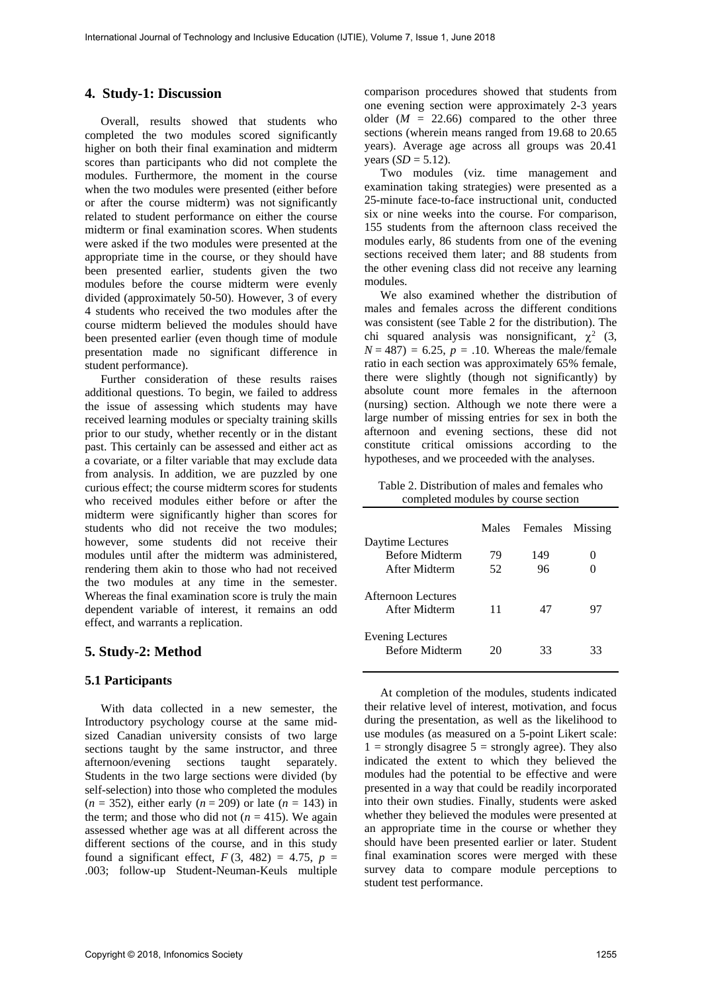## **4. Study-1: Discussion**

Overall, results showed that students who completed the two modules scored significantly higher on both their final examination and midterm scores than participants who did not complete the modules. Furthermore, the moment in the course when the two modules were presented (either before or after the course midterm) was not significantly related to student performance on either the course midterm or final examination scores. When students were asked if the two modules were presented at the appropriate time in the course, or they should have been presented earlier, students given the two modules before the course midterm were evenly divided (approximately 50-50). However, 3 of every 4 students who received the two modules after the course midterm believed the modules should have been presented earlier (even though time of module presentation made no significant difference in student performance).

Further consideration of these results raises additional questions. To begin, we failed to address the issue of assessing which students may have received learning modules or specialty training skills prior to our study, whether recently or in the distant past. This certainly can be assessed and either act as a covariate, or a filter variable that may exclude data from analysis. In addition, we are puzzled by one curious effect; the course midterm scores for students who received modules either before or after the midterm were significantly higher than scores for students who did not receive the two modules; however, some students did not receive their modules until after the midterm was administered, rendering them akin to those who had not received the two modules at any time in the semester. Whereas the final examination score is truly the main dependent variable of interest, it remains an odd effect, and warrants a replication.

## **5. Study-2: Method**

#### **5.1 Participants**

With data collected in a new semester, the Introductory psychology course at the same midsized Canadian university consists of two large sections taught by the same instructor, and three afternoon/evening sections taught separately. Students in the two large sections were divided (by self-selection) into those who completed the modules  $(n = 352)$ , either early  $(n = 209)$  or late  $(n = 143)$  in the term; and those who did not  $(n = 415)$ . We again assessed whether age was at all different across the different sections of the course, and in this study found a significant effect,  $F(3, 482) = 4.75$ ,  $p =$ .003; follow-up Student-Neuman-Keuls multiple

comparison procedures showed that students from one evening section were approximately 2-3 years older  $(M = 22.66)$  compared to the other three sections (wherein means ranged from 19.68 to 20.65 years). Average age across all groups was 20.41 years  $(SD = 5.12)$ .

Two modules (viz. time management and examination taking strategies) were presented as a 25-minute face-to-face instructional unit, conducted six or nine weeks into the course. For comparison, 155 students from the afternoon class received the modules early, 86 students from one of the evening sections received them later; and 88 students from the other evening class did not receive any learning modules.

We also examined whether the distribution of males and females across the different conditions was consistent (see Table 2 for the distribution). The chi squared analysis was nonsignificant,  $\chi^2$  (3,  $N = 487$ ) = 6.25,  $p = .10$ . Whereas the male/female ratio in each section was approximately 65% female, there were slightly (though not significantly) by absolute count more females in the afternoon (nursing) section. Although we note there were a large number of missing entries for sex in both the afternoon and evening sections, these did not constitute critical omissions according to the hypotheses, and we proceeded with the analyses.

Table 2. Distribution of males and females who completed modules by course section

|                                                  | Males | Females | Missing |
|--------------------------------------------------|-------|---------|---------|
| Daytime Lectures                                 |       |         |         |
| <b>Before Midterm</b>                            | 79    | 149     | 0       |
| After Midterm                                    | 52    | 96      |         |
| Afternoon Lectures<br>After Midterm              | 11    | 47      | 97      |
| <b>Evening Lectures</b><br><b>Before Midterm</b> | 20    | 33      | 33      |

At completion of the modules, students indicated their relative level of interest, motivation, and focus during the presentation, as well as the likelihood to use modules (as measured on a 5-point Likert scale:  $1 =$  strongly disagree  $5 =$  strongly agree). They also indicated the extent to which they believed the modules had the potential to be effective and were presented in a way that could be readily incorporated into their own studies. Finally, students were asked whether they believed the modules were presented at an appropriate time in the course or whether they should have been presented earlier or later. Student final examination scores were merged with these survey data to compare module perceptions to student test performance.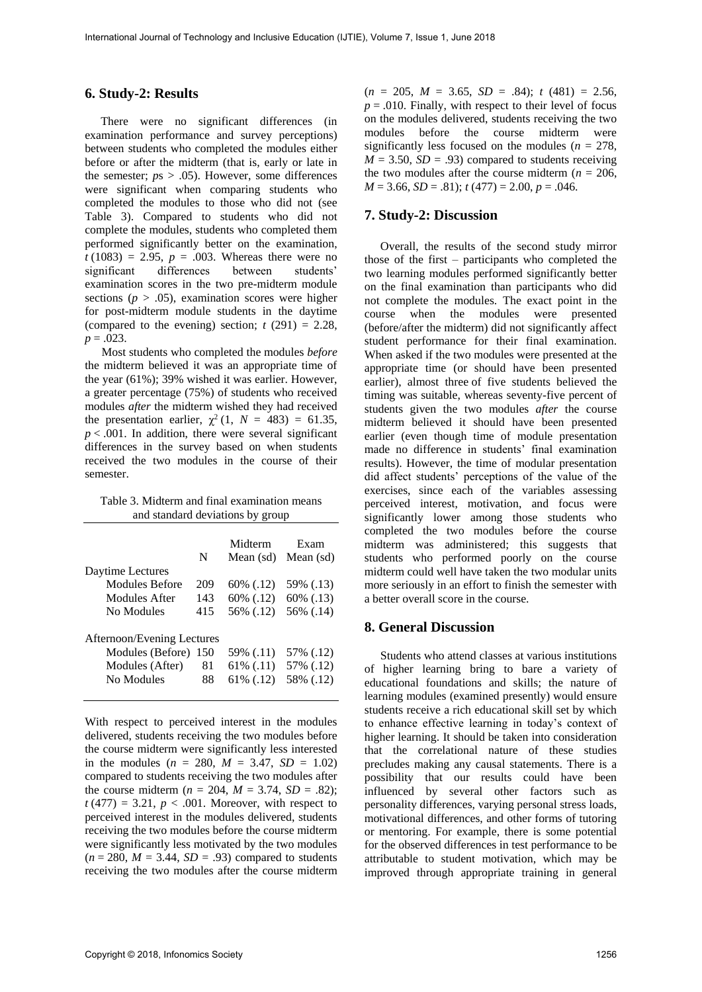### **6. Study-2: Results**

There were no significant differences (in examination performance and survey perceptions) between students who completed the modules either before or after the midterm (that is, early or late in the semester;  $ps > .05$ ). However, some differences were significant when comparing students who completed the modules to those who did not (see Table 3). Compared to students who did not complete the modules, students who completed them performed significantly better on the examination,  $t(1083) = 2.95$ ,  $p = .003$ . Whereas there were no significant differences between students' examination scores in the two pre-midterm module sections ( $p > .05$ ), examination scores were higher for post-midterm module students in the daytime (compared to the evening) section;  $t(291) = 2.28$ ,  $p = .023$ .

Most students who completed the modules *before*  the midterm believed it was an appropriate time of the year (61%); 39% wished it was earlier. However, a greater percentage (75%) of students who received modules *after* the midterm wished they had received the presentation earlier,  $\chi^2$  (1,  $N = 483$ ) = 61.35,  $p < .001$ . In addition, there were several significant differences in the survey based on when students received the two modules in the course of their semester.

Table 3. Midterm and final examination means and standard deviations by group

|                            | N   | Midterm<br>Mean (sd) | Exam<br>Mean (sd) |  |  |  |
|----------------------------|-----|----------------------|-------------------|--|--|--|
| Daytime Lectures           |     |                      |                   |  |  |  |
| Modules Before             | 209 | 60% (.12)            | 59% (.13)         |  |  |  |
| Modules After              | 143 | 60% (.12)            | 60% (.13)         |  |  |  |
| No Modules                 | 415 | 56% (.12)            | 56% (.14)         |  |  |  |
| Afternoon/Evening Lectures |     |                      |                   |  |  |  |
| Modules (Before) 150       |     | 59% (.11)            | 57% (.12)         |  |  |  |
| Modules (After)            | 81  | 61\% (.11)           | 57% (.12)         |  |  |  |
| No Modules                 | 88  | 61\% (.12)           | 58% (.12)         |  |  |  |

With respect to perceived interest in the modules delivered, students receiving the two modules before the course midterm were significantly less interested in the modules  $(n = 280, M = 3.47, SD = 1.02)$ compared to students receiving the two modules after the course midterm ( $n = 204$ ,  $M = 3.74$ ,  $SD = .82$ );  $t(477) = 3.21$ ,  $p < .001$ . Moreover, with respect to perceived interest in the modules delivered, students receiving the two modules before the course midterm were significantly less motivated by the two modules  $(n = 280, M = 3.44, SD = .93)$  compared to students receiving the two modules after the course midterm

 $(n = 205, M = 3.65, SD = .84); t (481) = 2.56,$  $p = .010$ . Finally, with respect to their level of focus on the modules delivered, students receiving the two modules before the course midterm were significantly less focused on the modules ( $n = 278$ ,  $M = 3.50$ ,  $SD = .93$ ) compared to students receiving the two modules after the course midterm ( $n = 206$ ,  $M = 3.66$ ,  $SD = .81$ ;  $t(477) = 2.00$ ,  $p = .046$ .

## **7. Study-2: Discussion**

Overall, the results of the second study mirror those of the first – participants who completed the two learning modules performed significantly better on the final examination than participants who did not complete the modules. The exact point in the course when the modules were presented (before/after the midterm) did not significantly affect student performance for their final examination. When asked if the two modules were presented at the appropriate time (or should have been presented earlier), almost three of five students believed the timing was suitable, whereas seventy-five percent of students given the two modules *after* the course midterm believed it should have been presented earlier (even though time of module presentation made no difference in students' final examination results). However, the time of modular presentation did affect students' perceptions of the value of the exercises, since each of the variables assessing perceived interest, motivation, and focus were significantly lower among those students who completed the two modules before the course midterm was administered; this suggests that students who performed poorly on the course midterm could well have taken the two modular units more seriously in an effort to finish the semester with a better overall score in the course.

## **8. General Discussion**

Students who attend classes at various institutions of higher learning bring to bare a variety of educational foundations and skills; the nature of learning modules (examined presently) would ensure students receive a rich educational skill set by which to enhance effective learning in today's context of higher learning. It should be taken into consideration that the correlational nature of these studies precludes making any causal statements. There is a possibility that our results could have been influenced by several other factors such as personality differences, varying personal stress loads, motivational differences, and other forms of tutoring or mentoring. For example, there is some potential for the observed differences in test performance to be attributable to student motivation, which may be improved through appropriate training in general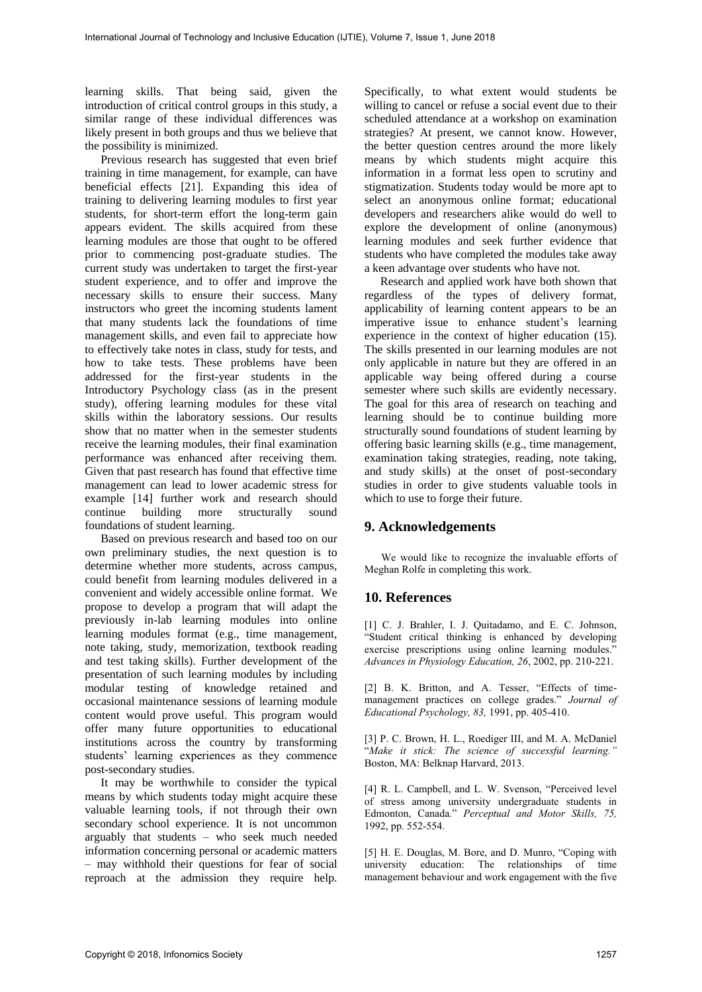learning skills. That being said, given the introduction of critical control groups in this study, a similar range of these individual differences was likely present in both groups and thus we believe that the possibility is minimized.

Previous research has suggested that even brief training in time management, for example, can have beneficial effects [21]. Expanding this idea of training to delivering learning modules to first year students, for short-term effort the long-term gain appears evident. The skills acquired from these learning modules are those that ought to be offered prior to commencing post-graduate studies. The current study was undertaken to target the first-year student experience, and to offer and improve the necessary skills to ensure their success. Many instructors who greet the incoming students lament that many students lack the foundations of time management skills, and even fail to appreciate how to effectively take notes in class, study for tests, and how to take tests. These problems have been addressed for the first-year students in the Introductory Psychology class (as in the present study), offering learning modules for these vital skills within the laboratory sessions. Our results show that no matter when in the semester students receive the learning modules, their final examination performance was enhanced after receiving them. Given that past research has found that effective time management can lead to lower academic stress for example [14] further work and research should continue building more structurally sound foundations of student learning.

Based on previous research and based too on our own preliminary studies, the next question is to determine whether more students, across campus, could benefit from learning modules delivered in a convenient and widely accessible online format. We propose to develop a program that will adapt the previously in-lab learning modules into online learning modules format (e.g., time management, note taking, study, memorization, textbook reading and test taking skills). Further development of the presentation of such learning modules by including modular testing of knowledge retained and occasional maintenance sessions of learning module content would prove useful. This program would offer many future opportunities to educational institutions across the country by transforming students' learning experiences as they commence post-secondary studies.

It may be worthwhile to consider the typical means by which students today might acquire these valuable learning tools, if not through their own secondary school experience. It is not uncommon arguably that students – who seek much needed information concerning personal or academic matters – may withhold their questions for fear of social reproach at the admission they require help. Specifically, to what extent would students be willing to cancel or refuse a social event due to their scheduled attendance at a workshop on examination strategies? At present, we cannot know. However, the better question centres around the more likely means by which students might acquire this information in a format less open to scrutiny and stigmatization. Students today would be more apt to select an anonymous online format; educational developers and researchers alike would do well to explore the development of online (anonymous) learning modules and seek further evidence that students who have completed the modules take away a keen advantage over students who have not.

Research and applied work have both shown that regardless of the types of delivery format, applicability of learning content appears to be an imperative issue to enhance student's learning experience in the context of higher education (15). The skills presented in our learning modules are not only applicable in nature but they are offered in an applicable way being offered during a course semester where such skills are evidently necessary. The goal for this area of research on teaching and learning should be to continue building more structurally sound foundations of student learning by offering basic learning skills (e.g., time management, examination taking strategies, reading, note taking, and study skills) at the onset of post-secondary studies in order to give students valuable tools in which to use to forge their future.

# **9. Acknowledgements**

We would like to recognize the invaluable efforts of Meghan Rolfe in completing this work.

# **10. References**

[1] C. J. Brahler, I. J. Quitadamo, and E. C. Johnson, "Student critical thinking is enhanced by developing exercise prescriptions using online learning modules.' *Advances in Physiology Education, 26*, 2002, pp. 210-221.

[2] B. K. Britton, and A. Tesser, "Effects of timemanagement practices on college grades." *Journal of Educational Psychology, 83,* 1991, pp. 405-410.

[3] P. C. Brown, H. L., Roediger III, and M. A. McDaniel "*Make it stick: The science of successful learning."*  Boston, MA: Belknap Harvard, 2013.

[4] R. L. Campbell, and L. W. Svenson, "Perceived level of stress among university undergraduate students in Edmonton, Canada." *Perceptual and Motor Skills, 75,*  1992, pp. 552-554.

[5] H. E. Douglas, M. Bore, and D. Munro, "Coping with university education: The relationships of time management behaviour and work engagement with the five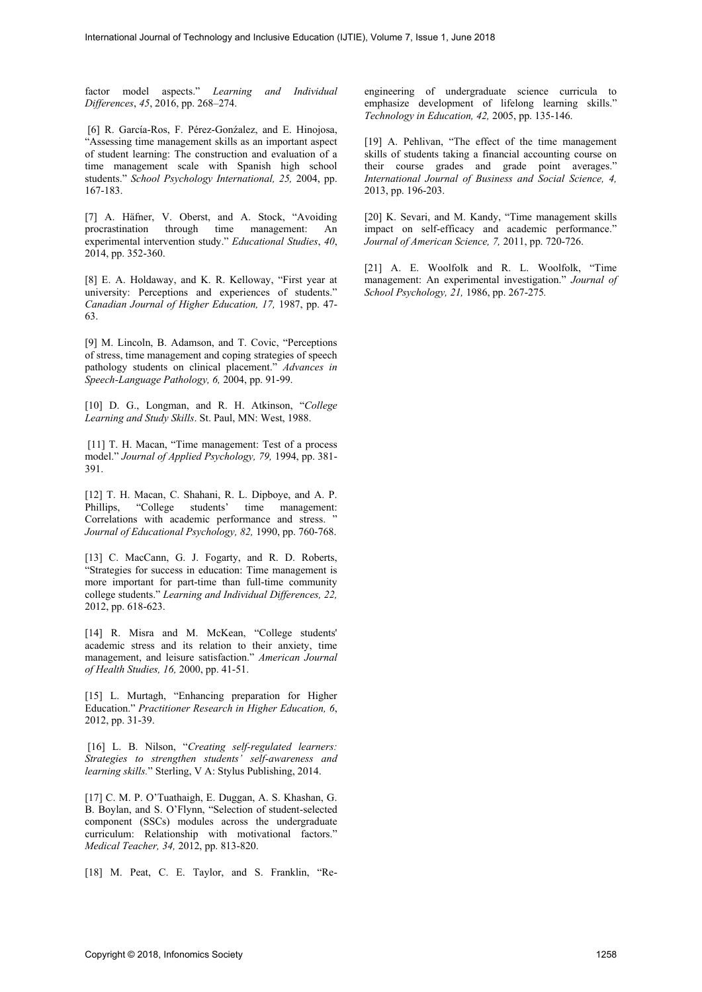factor model aspects." *Learning and Individual Differences*, *45*, 2016, pp. 268–274.

[6] R. García-Ros, F. Pérez-Gonźalez, and E. Hinojosa, "Assessing time management skills as an important aspect of student learning: The construction and evaluation of a time management scale with Spanish high school students." *School Psychology International, 25,* 2004, pp. 167-183.

[7] A. Häfner, V. Oberst, and A. Stock, "Avoiding through time management: An experimental intervention study." *Educational Studies*, *40*, 2014, pp. 352-360.

[8] E. A. Holdaway, and K. R. Kelloway, "First year at university: Perceptions and experiences of students." *Canadian Journal of Higher Education, 17,* 1987, pp. 47- 63.

[9] M. Lincoln, B. Adamson, and T. Covic, "Perceptions of stress, time management and coping strategies of speech pathology students on clinical placement." *Advances in Speech-Language Pathology, 6,* 2004, pp. 91-99.

[10] D. G., Longman, and R. H. Atkinson, "*College Learning and Study Skills*. St. Paul, MN: West, 1988.

[11] T. H. Macan, "Time management: Test of a process model." *Journal of Applied Psychology, 79,* 1994, pp. 381- 391.

[12] T. H. Macan, C. Shahani, R. L. Dipboye, and A. P. Phillips, "College students' time management: Correlations with academic performance and stress. " *Journal of Educational Psychology, 82,* 1990, pp. 760-768.

[13] C. MacCann, G. J. Fogarty, and R. D. Roberts, "Strategies for success in education: Time management is more important for part-time than full-time community college students." *Learning and Individual Differences, 22,*  2012, pp. 618-623.

[14] R. Misra and M. McKean, "College students' academic stress and its relation to their anxiety, time management, and leisure satisfaction." *American Journal of Health Studies, 16,* 2000, pp. 41-51.

[15] L. Murtagh, "Enhancing preparation for Higher Education." *Practitioner Research in Higher Education, 6*, 2012, pp. 31-39.

[16] L. B. Nilson, "*Creating self-regulated learners: Strategies to strengthen students' self-awareness and learning skills.*" Sterling, V A: Stylus Publishing, 2014.

[17] C. M. P. O'Tuathaigh, E. Duggan, A. S. Khashan, G. B. Boylan, and S. O'Flynn, "Selection of student-selected component (SSCs) modules across the undergraduate curriculum: Relationship with motivational factors." *Medical Teacher, 34,* 2012, pp. 813-820.

[18] M. Peat, C. E. Taylor, and S. Franklin, "Re-

engineering of undergraduate science curricula to emphasize development of lifelong learning skills." *Technology in Education, 42,* 2005, pp. 135-146.

[19] A. Pehlivan, "The effect of the time management skills of students taking a financial accounting course on their course grades and grade point averages." *International Journal of Business and Social Science, 4,*  2013, pp. 196-203.

[20] K. Sevari, and M. Kandy, "Time management skills impact on self-efficacy and academic performance." *Journal of American Science, 7,* 2011, pp. 720-726.

[21] A. E. Woolfolk and R. L. Woolfolk, "Time management: An experimental investigation." *Journal of School Psychology, 21,* 1986, pp. 267-275*.*